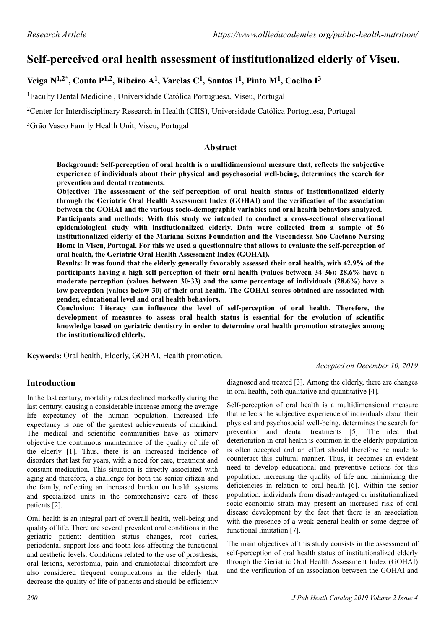# **Self-perceived oral health assessment of institutionalized elderly of Viseu.**

## **Veiga N1,2\*, Couto P1,2, Ribeiro A<sup>1</sup> , Varelas C<sup>1</sup> , Santos I<sup>1</sup> , Pinto M<sup>1</sup> , Coelho I<sup>3</sup>**

<sup>1</sup>Faculty Dental Medicine , Universidade Católica Portuguesa, Viseu, Portugal

<sup>2</sup>Center for Interdisciplinary Research in Health (CIIS), Universidade Católica Portuguesa, Portugal

<sup>3</sup>Grão Vasco Family Health Unit, Viseu, Portugal

#### **Abstract**

**Background: Self-perception of oral health is a multidimensional measure that, reflects the subjective experience of individuals about their physical and psychosocial well-being, determines the search for prevention and dental treatments.**

**Objective: The assessment of the self-perception of oral health status of institutionalized elderly through the Geriatric Oral Health Assessment Index (GOHAI) and the verification of the association between the GOHAI and the various socio-demographic variables and oral health behaviors analyzed. Participants and methods: With this study we intended to conduct a cross-sectional observational epidemiological study with institutionalized elderly. Data were collected from a sample of 56 institutionalized elderly of the Mariana Seixas Foundation and the Viscondessa São Caetano Nursing Home in Viseu, Portugal. For this we used a questionnaire that allows to evaluate the self-perception of oral health, the Geriatric Oral Health Assessment Index (GOHAI).**

**Results: It was found that the elderly generally favorably assessed their oral health, with 42.9% of the participants having a high self-perception of their oral health (values between 34-36); 28.6% have a moderate perception (values between 30-33) and the same percentage of individuals (28.6%) have a low perception (values below 30) of their oral health. The GOHAI scores obtained are associated with gender, educational level and oral health behaviors.**

**Conclusion: Literacy can influence the level of self-perception of oral health. Therefore, the development of measures to assess oral health status is essential for the evolution of scientific knowledge based on geriatric dentistry in order to determine oral health promotion strategies among the institutionalized elderly.**

**Keywords:** Oral health, Elderly, GOHAI, Health promotion.

*Accepted on December 10, 2019*

#### **Introduction**

In the last century, mortality rates declined markedly during the last century, causing a considerable increase among the average life expectancy of the human population. Increased life expectancy is one of the greatest achievements of mankind. The medical and scientific communities have as primary objective the continuous maintenance of the quality of life of the elderly [1]. Thus, there is an increased incidence of disorders that last for years, with a need for care, treatment and constant medication. This situation is directly associated with aging and therefore, a challenge for both the senior citizen and the family, reflecting an increased burden on health systems and specialized units in the comprehensive care of these patients [2].

Oral health is an integral part of overall health, well-being and quality of life. There are several prevalent oral conditions in the geriatric patient: dentition status changes, root caries, periodontal support loss and tooth loss affecting the functional and aesthetic levels. Conditions related to the use of prosthesis, oral lesions, xerostomia, pain and craniofacial discomfort are also considered frequent complications in the elderly that decrease the quality of life of patients and should be efficiently

diagnosed and treated [3]. Among the elderly, there are changes in oral health, both qualitative and quantitative [4].

Self-perception of oral health is a multidimensional measure that reflects the subjective experience of individuals about their physical and psychosocial well-being, determines the search for prevention and dental treatments [5]. The idea that deterioration in oral health is common in the elderly population is often accepted and an effort should therefore be made to counteract this cultural manner. Thus, it becomes an evident need to develop educational and preventive actions for this population, increasing the quality of life and minimizing the deficiencies in relation to oral health [6]. Within the senior population, individuals from disadvantaged or institutionalized socio-economic strata may present an increased risk of oral disease development by the fact that there is an association with the presence of a weak general health or some degree of functional limitation [7].

The main objectives of this study consists in the assessment of self-perception of oral health status of institutionalized elderly through the Geriatric Oral Health Assessment Index (GOHAI) and the verification of an association between the GOHAI and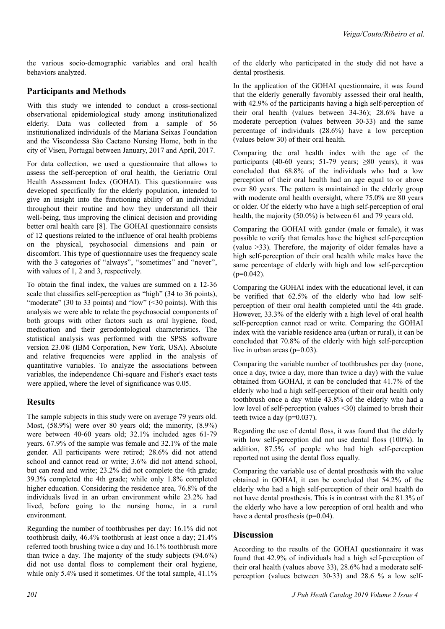the various socio-demographic variables and oral health behaviors analyzed.

### **Participants and Methods**

With this study we intended to conduct a cross-sectional observational epidemiological study among institutionalized elderly. Data was collected from a sample of 56 institutionalized individuals of the Mariana Seixas Foundation and the Viscondessa São Caetano Nursing Home, both in the city of Viseu, Portugal between January, 2017 and April, 2017.

For data collection, we used a questionnaire that allows to assess the self-perception of oral health, the Geriatric Oral Health Assessment Index (GOHAI). This questionnaire was developed specifically for the elderly population, intended to give an insight into the functioning ability of an individual throughout their routine and how they understand all their well-being, thus improving the clinical decision and providing better oral health care [8]. The GOHAI questionnaire consists of 12 questions related to the influence of oral health problems on the physical, psychosocial dimensions and pain or discomfort. This type of questionnaire uses the frequency scale with the 3 categories of "always", "sometimes" and "never", with values of 1, 2 and 3, respectively.

To obtain the final index, the values are summed on a 12-36 scale that classifies self-perception as "high" (34 to 36 points), "moderate" (30 to 33 points) and "low" (<30 points). With this analysis we were able to relate the psychosocial components of both groups with other factors such as oral hygiene, food, medication and their gerodontological characteristics. The statistical analysis was performed with the SPSS software version 23.0® (IBM Corporation, New York, USA). Absolute and relative frequencies were applied in the analysis of quantitative variables. To analyze the associations between variables, the independence Chi-square and Fisher's exact tests were applied, where the level of significance was 0.05.

#### **Results**

The sample subjects in this study were on average 79 years old. Most, (58.9%) were over 80 years old; the minority, (8.9%) were between 40-60 years old; 32.1% included ages 61-79 years. 67.9% of the sample was female and 32.1% of the male gender. All participants were retired; 28.6% did not attend school and cannot read or write; 3.6% did not attend school, but can read and write; 23.2% did not complete the 4th grade; 39.3% completed the 4th grade; while only 1.8% completed higher education. Considering the residence area, 76.8% of the individuals lived in an urban environment while 23.2% had lived, before going to the nursing home, in a rural environment.

Regarding the number of toothbrushes per day: 16.1% did not toothbrush daily, 46.4% toothbrush at least once a day; 21.4% referred tooth brushing twice a day and 16.1% toothbrush more than twice a day. The majority of the study subjects (94.6%) did not use dental floss to complement their oral hygiene, while only 5.4% used it sometimes. Of the total sample, 41.1% In the application of the GOHAI questionnaire, it was found that the elderly generally favorably assessed their oral health, with 42.9% of the participants having a high self-perception of their oral health (values between 34-36); 28.6% have a moderate perception (values between 30-33) and the same percentage of individuals (28.6%) have a low perception (values below 30) of their oral health.

Comparing the oral health index with the age of the participants (40-60 years; 51-79 years;  $>80$  years), it was concluded that 68.8% of the individuals who had a low perception of their oral health had an age equal to or above over 80 years. The pattern is maintained in the elderly group with moderate oral health oversight, where 75.0% are 80 years or older. Of the elderly who have a high self-perception of oral health, the majority (50.0%) is between 61 and 79 years old.

Comparing the GOHAI with gender (male or female), it was possible to verify that females have the highest self-perception (value >33). Therefore, the majority of older females have a high self-perception of their oral health while males have the same percentage of elderly with high and low self-perception  $(p=0.042)$ .

Comparing the GOHAI index with the educational level, it can be verified that 62.5% of the elderly who had low selfperception of their oral health completed until the 4th grade. However, 33.3% of the elderly with a high level of oral health self-perception cannot read or write. Comparing the GOHAI index with the variable residence area (urban or rural), it can be concluded that 70.8% of the elderly with high self-perception live in urban areas (p=0.03).

Comparing the variable number of toothbrushes per day (none, once a day, twice a day, more than twice a day) with the value obtained from GOHAI, it can be concluded that 41.7% of the elderly who had a high self-perception of their oral health only toothbrush once a day while 43.8% of the elderly who had a low level of self-perception (values <30) claimed to brush their teeth twice a day (p=0.037).

Regarding the use of dental floss, it was found that the elderly with low self-perception did not use dental floss (100%). In addition, 87.5% of people who had high self-perception reported not using the dental floss equally.

Comparing the variable use of dental prosthesis with the value obtained in GOHAI, it can be concluded that 54.2% of the elderly who had a high self-perception of their oral health do not have dental prosthesis. This is in contrast with the 81.3% of the elderly who have a low perception of oral health and who have a dental prosthesis (p=0.04).

#### **Discussion**

According to the results of the GOHAI questionnaire it was found that 42.9% of individuals had a high self-perception of their oral health (values above 33), 28.6% had a moderate selfperception (values between 30-33) and 28.6 % a low self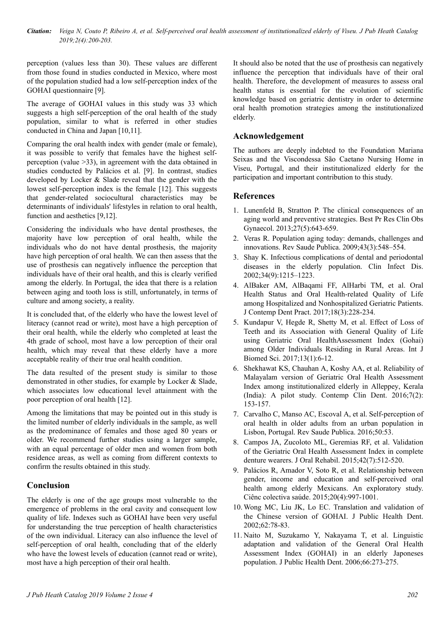*Citation: Veiga N, Couto P, Ribeiro A, et al. Self-perceived oral health assessment of institutionalized elderly of Viseu. J Pub Heath Catalog 2019;2(4):200-203.*

perception (values less than 30). These values are different from those found in studies conducted in Mexico, where most of the population studied had a low self-perception index of the GOHAI questionnaire [9].

The average of GOHAI values in this study was 33 which suggests a high self-perception of the oral health of the study population, similar to what is referred in other studies conducted in China and Japan [10,11].

Comparing the oral health index with gender (male or female), it was possible to verify that females have the highest selfperception (value >33), in agreement with the data obtained in studies conducted by Palácios et al. [9]. In contrast, studies developed by Locker & Slade reveal that the gender with the lowest self-perception index is the female [12]. This suggests that gender-related sociocultural characteristics may be determinants of individuals' lifestyles in relation to oral health, function and aesthetics [9,12].

Considering the individuals who have dental prostheses, the majority have low perception of oral health, while the individuals who do not have dental prosthesis, the majority have high perception of oral health. We can then assess that the use of prosthesis can negatively influence the perception that individuals have of their oral health, and this is clearly verified among the elderly. In Portugal, the idea that there is a relation between aging and tooth loss is still, unfortunately, in terms of culture and among society, a reality.

It is concluded that, of the elderly who have the lowest level of literacy (cannot read or write), most have a high perception of their oral health, while the elderly who completed at least the 4th grade of school, most have a low perception of their oral health, which may reveal that these elderly have a more acceptable reality of their true oral health condition.

The data resulted of the present study is similar to those demonstrated in other studies, for example by Locker & Slade, which associates low educational level attainment with the poor perception of oral health [12].

Among the limitations that may be pointed out in this study is the limited number of elderly individuals in the sample, as well as the predominance of females and those aged 80 years or older. We recommend further studies using a larger sample, with an equal percentage of older men and women from both residence areas, as well as coming from different contexts to confirm the results obtained in this study.

#### **Conclusion**

The elderly is one of the age groups most vulnerable to the emergence of problems in the oral cavity and consequent low quality of life. Indexes such as GOHAI have been very useful for understanding the true perception of health characteristics of the own individual. Literacy can also influence the level of self-perception of oral health, concluding that of the elderly who have the lowest levels of education (cannot read or write), most have a high perception of their oral health.

It should also be noted that the use of prosthesis can negatively influence the perception that individuals have of their oral health. Therefore, the development of measures to assess oral health status is essential for the evolution of scientific knowledge based on geriatric dentistry in order to determine oral health promotion strategies among the institutionalized elderly.

### **Acknowledgement**

The authors are deeply indebted to the Foundation Mariana Seixas and the Viscondessa São Caetano Nursing Home in Viseu, Portugal, and their institutionalized elderly for the participation and important contribution to this study.

#### **References**

- 1. Lunenfeld B, Stratton P. The clinical consequences of an aging world and preventive strategies. Best Pr Res Clin Obs Gynaecol. 2013;27(5):643-659.
- 2. Veras R. Population aging today: demands, challenges and innovations. Rev Saude Publica. 2009;43(3):548–554.
- 3. Shay K. Infectious complications of dental and periodontal diseases in the elderly population. Clin Infect Dis. 2002;34(9):1215–1223.
- 4. AlBaker AM, AlBaqami FF, AlHarbi TM, et al. Oral Health Status and Oral Health-related Quality of Life among Hospitalized and Nonhospitalized Geriatric Patients. J Contemp Dent Pract. 2017;18(3):228-234.
- 5. Kundapur V, Hegde R, Shetty M, et al. Effect of Loss of Teeth and its Association with General Quality of Life using Geriatric Oral HealthAssessment Index (Gohai) among Older Individuals Residing in Rural Areas. Int J Biomed Sci. 2017;13(1):6-12.
- 6. Shekhawat KS, Chauhan A, Koshy AA, et al. Reliability of Malayalam version of Geriatric Oral Health Assessment Index among institutionalized elderly in Alleppey, Kerala (India): A pilot study. Contemp Clin Dent. 2016;7(2): 153-157.
- 7. Carvalho C, Manso AC, Escoval A, et al. Self-perception of oral health in older adults from an urban population in Lisbon, Portugal. Rev Saude Publica. 2016;50:53.
- 8. Campos JA, Zucoloto ML, Geremias RF, et al. Validation of the Geriatric Oral Health Assessment Index in complete denture wearers. J Oral Rehabil. 2015;42(7):512-520.
- 9. Palácios R, Amador V, Soto R, et al. Relationship between gender, income and education and self-perceived oral health among elderly Mexicans. An exploratory study. Ciênc colectiva saúde. 2015;20(4):997-1001.
- 10. Wong MC, Liu JK, Lo EC. Translation and validation of the Chinese version of GOHAI. J Public Health Dent. 2002;62:78-83.
- 11. Naito M, Suzukamo Y, Nakayama T, et al. Linguistic adaptation and validation of the General Oral Health Assessment Index (GOHAI) in an elderly Japoneses population. J Public Health Dent. 2006;66:273-275.